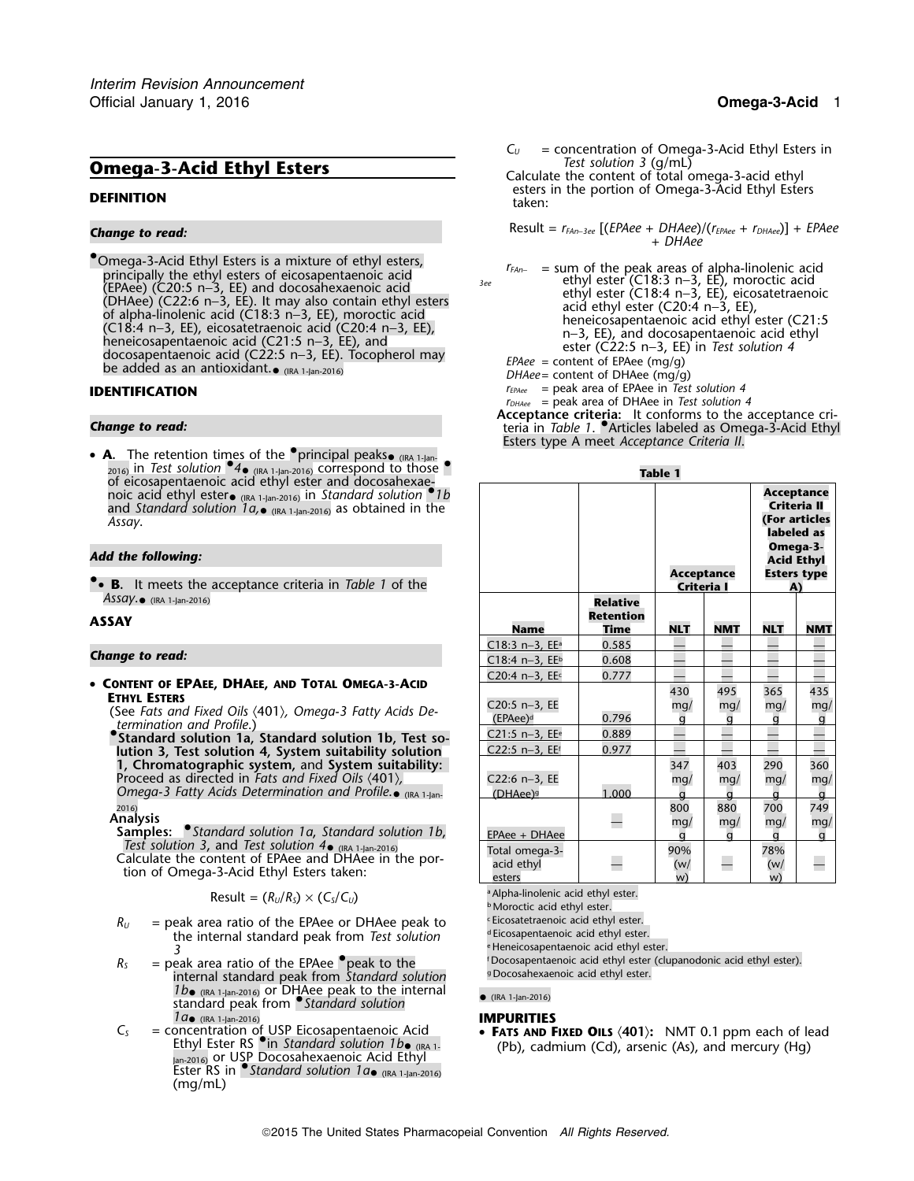•Omega-3-Acid Ethyl Esters is a mixture of ethyl esters, Omega-3-Acid Enly Esters is a mixture of ethyl esters,<br>
principally the ethyl esters of eicosapentaenoic acid<br>
(EPAee) (C20:5 n-3, EE), and docosahexaenoic acid ethyl ester (C18:3 n-3, EE), moroctic acid<br>
(DHAee) (C22:5 n

**A.** The retention times of the **•**principal peaks• (IRA 1-Jan-<br>2016) in *Test solution* **•**4• (IRA 1-Jan-2016) correspond to those •. 2016) in Test solution **74.** (IRA 1-Jan-2016) COTTESPOND to those **Table 1**<br>
of eicosapentaenoic acid ethyl ester and docosahexae-<br>
in franchisch solution **1** b

### *Change to read:*

$$
Result = (R_U/R_S) \times (C_S/C_U)
$$
\n<sup>a</sup> Alpha-linolenic acid ethyl ester.

- $R_U$  = peak area ratio of the EPAee or DHAee peak to  $R_U$  = peak area ratio of the EPAee or DHAee peak to  $\frac{1}{2}$  Eicosapentaenoic acid ethyl ester. the internal standard peak from *Test solution*<br>3
- $R<sub>S</sub>$  = peak area ratio of the EPAee •peak to the same <sup>f</sup>Docosapentaenoic acid ethyl ester (clupanodonic acid ethyl ester). internal standard peak from St*andard solution* <sup>9Docosahexaenoic acid ethyl ester.</sup> *1b*• (IRA 1-Jan-2016) or DHAee peak to the internal • (IRA 1-Jan-2016) standard peak from *Standard solution* 1*a*• (IRA 1-Jan-2016)
- Jan-2016) or USP Docosahexaenoic Acid Ethyl Ester RS in •.*Standard solution 1a* (IRA 1-Jan-2016) (mg/mL)

 $C_U$  = concentration of Omega-3-Acid Ethyl Esters in Test solution 3 (q/mL) **Omega-3-Acid Ethyl Esters** Calculate the content of total omega-3-acid ethyl<br>Calculate the content of total omega-3-acid ethyl esters in the portion of Omega-3-Acid Ethyl Esters **DEFINITION** taken:

Result = *<sup>r</sup>FAn*−*3ee* [(*EPAee* + *DHAee*)/(*<sup>r</sup>EPAee* + *rDHAee*)] + *EPAee Change to read:* <sup>+</sup>*DHAee*

- 
- DHAee= content of DHAee (mg/g)
- **IDENTIFICATION** *I*<sub>EPAee</sub> = peak area of EPAee in *Test solution 4* 
	- *<sup>r</sup>DHAee* = peak area of DHAee in *Test solution 4*

**Acceptance criteria:** It conforms to the acceptance cri- *Change to read:* teria in *Table 1*. •.Articles labeled as Omega-3-Acid Ethyl Esters type A meet *Acceptance Criteria II*.

| U CICOSADETILACITUIC ACIU CUTVI ESTEI ATIU UUCOSATIEAAE-<br>noic acid ethyl ester $_{(IRA 1-jan-2016)}$ in Standard solution <sup>1</sup> b<br>and Standard solution $1a_{\bullet}$ (IRA 1-Jan-2016) as obtained in the<br>Assay.<br>Add the following:<br>• <b>B.</b> It meets the acceptance criteria in Table 1 of the                                 |                                                                                                            |                                      | <b>Acceptance</b><br>Criteria I           |                                           | <b>Acceptance</b><br>Criteria II<br>labeled as<br>Omega-3-<br><b>Acid Ethyl</b><br>A) | (For articles<br><b>Esters type</b>   |
|-----------------------------------------------------------------------------------------------------------------------------------------------------------------------------------------------------------------------------------------------------------------------------------------------------------------------------------------------------------|------------------------------------------------------------------------------------------------------------|--------------------------------------|-------------------------------------------|-------------------------------------------|---------------------------------------------------------------------------------------|---------------------------------------|
| $Assay.$ (IRA 1-Jan-2016)<br>ASSAY                                                                                                                                                                                                                                                                                                                        | <b>Name</b>                                                                                                | <b>Relative</b><br>Retention<br>Time | <b>NLT</b>                                | <b>NMT</b>                                | <b>NLT</b>                                                                            | <b>NMT</b>                            |
| <b>Change to read:</b>                                                                                                                                                                                                                                                                                                                                    | $C18:3 n-3$ , EE <sup>a</sup><br>$C18:4 n-3$ , EEb                                                         | 0.585<br>0.608                       |                                           |                                           |                                                                                       |                                       |
| • CONTENT OF EPAEE, DHAEE, AND TOTAL OMEGA-3-ACID<br><b>ETHYL ESTERS</b><br>(See Fats and Fixed Oils $\langle 401 \rangle$ , Omega-3 Fatty Acids De-<br>termination and Profile.)<br>Standard solution 1a, Standard solution 1b, Test so-<br>lution 3, Test solution 4, System suitability solution<br>1, Chromatographic system, and System suitability: | C20:4 n-3, EEc<br>C20:5 n-3, EE<br>(EPAee) <sup>d</sup><br>$C21:5 n-3$ , EE <sup>e</sup><br>C22:5 n-3, EEf | 0.777<br>0.796<br>0.889<br>0.977     | 430<br>mq/<br>a<br>347                    | 495<br>mq/<br>q<br>403                    | 365<br>mg/<br>290                                                                     | 435<br>mq/<br>g<br>360                |
| Proceed as directed in Fats and Fixed Oils (401),<br>Omega-3 Fatty Acids Determination and Profile. $\bullet$ (IRA 1-Ian-<br>2016)<br><b>Analysis</b><br><b>Samples:</b> Standard solution 1a, Standard solution 1b,                                                                                                                                      | C22:6 n-3, EE<br>(DHAee) <sup>g</sup><br>EPAee + DHAee                                                     | 1.000<br>$\overline{\phantom{0}}$    | mq/<br>$\alpha$<br>800<br>mq/<br>$\alpha$ | mq/<br>$\alpha$<br>880<br>mq/<br>$\alpha$ | mq/<br>$\alpha$<br>700<br>mq/<br>$\alpha$                                             | mg/<br>g<br>749<br>mq/<br>$\mathbf q$ |
| Test solution 3, and Test solution $4\bullet$ (IRA 1-Jan-2016)<br>Calculate the content of EPAee and DHAee in the por-<br>tion of Omega-3-Acid Ethyl Esters taken:                                                                                                                                                                                        | Total omega-3-<br>acid ethyl<br>esters                                                                     |                                      | 90%<br>(w/<br>w)                          | L.                                        | 78%<br>(w/<br>w)                                                                      | —                                     |

**Moroctic acid ethyl ester.** 

<sup>e</sup> Heneicosapentaenoic acid ethyl ester.<br><sup>†</sup>Docosapentaenoic acid ethyl ester (clupanodonic acid ethyl ester). <sup>9</sup> Docosahexaenoic acid ethyl ester.

 $C_5$  = concentration of USP Eicosapentaenoic Acid<br>C<sub>S</sub> = concentration of USP Eicosapentaenoic Acid **FATS AND FIXED OILS (401):** NMT 0.1 ppm each of lead<br>Ethyl Ester RS •in *Standard solution 1 b* (Ratistic and minim (Cd (Pb), cadmium (Cd), arsenic (As), and mercury (Hg)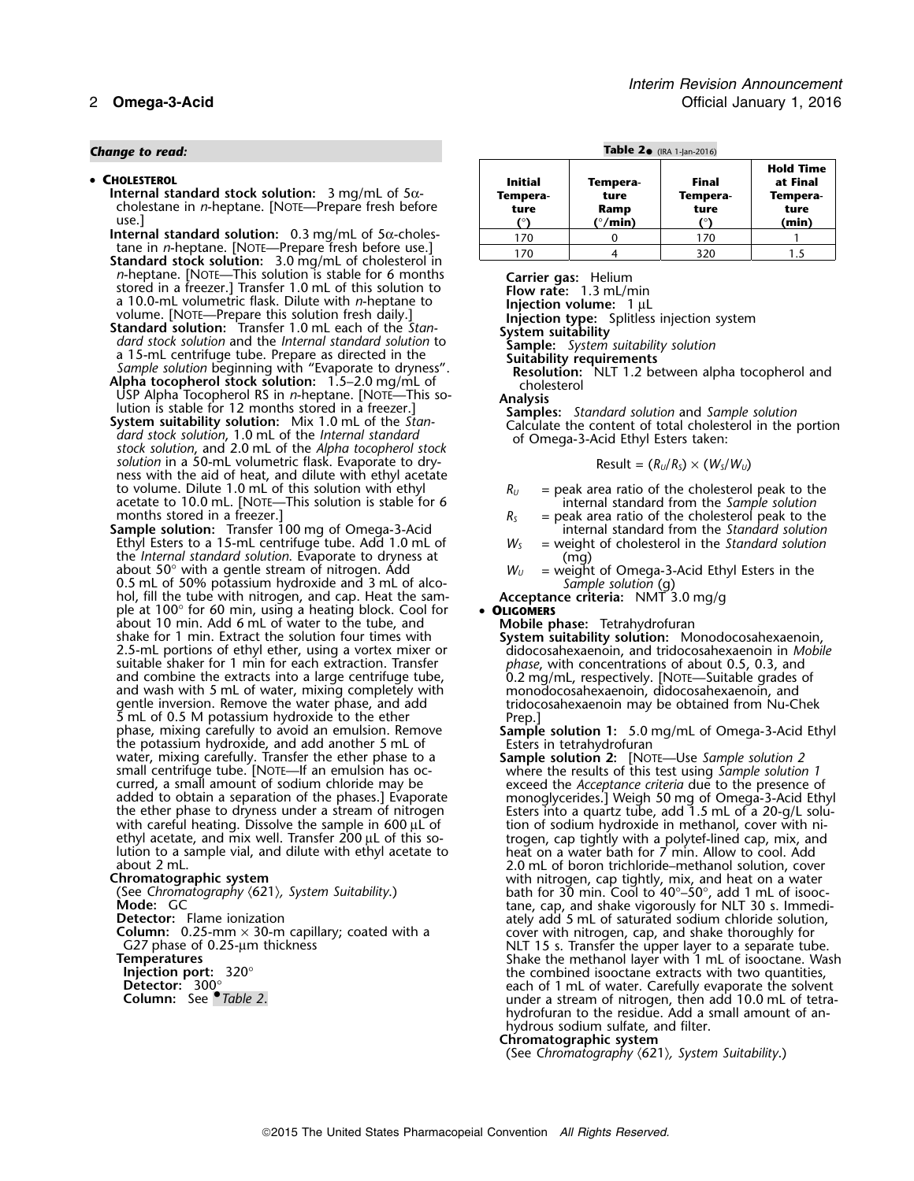## *Change to read:* **Table 2**• (IRA 1-Jan-2016)

### • CHOLESTEROL

- tane in *n*-heptane. [NOTE—Prepare fresh before use.]<br>**Standard stock solution:** 3.0 mg/mL of cholesterol in<br>*n*-heptane. [NOTE—This solution is stable for 6 months *n*-heptane. [NOTE—This solution is stable for 6 months<br>
at 10.0-mL volumetric flask. Dilute with *n*-heptane to<br>
at 10.0-mL volumetric flask. Dilute with *n*-heptane to<br>
volume. [NOTE—Prepare this solution fresh daily.]<br>
- 
- 
- *solution*, 1.0 mL of the *Internal standard* of Omega-3-Acid Ethyl Esters taken:<br>solution in a 50-mL volumetric flask. Evaporate to dry-<br>ness with the aid of heat, and dilute with ethyl acetate<br>to volume. Dilute 1.0 mL o to volume. Dilute 1.0 mL of this solution with ethyl<br>acetate to 10.0 mL. [NOTE—This solution is stable for 6<br>months stored in a freezer.]<br>**Sample solution:** Transfer 100 mg of Omega-3-Acid<br>Ethyl Esters to a 15-mL centrifu
- Ethyl Esters to a 15-mL centrifuge tube. Add 1.0 mL of the *Internal standard solution*. Evaporate to dryness at the *Internal standard solution*. Evaporate to dryness at (mg)<br>
about 50° with a gentle stream of nitrogen. Add<br>
0.5 mL of alco-<br>
hol, fill the tube with nitrogen, and cap. Heat the sam-<br>
ple at 100° for 60 min, using a h ple at 100° for 60 min, using a heating block. Cool for **• OLIGOMERS**<br>about 10 min. Add 6 mL of water to the tube, and **Frank Mobile phase:** Tetrahydrofuran about 10 min. Add 6 mL of water to the tube, and **Mobile phase:** Tetrahydrofuran shake for 1 min. Extract the solution four times with **System suitability solution:** Monodocosahexaenoin, 2.5-mL portions of ethyl ether, using a vortex mixer or didocosahexaenoin, and tridocosahexaenoin in *Mobile* suitable shaker for 1 min for each extraction. Transfer *phase*, with concentrations of about 0.5, 0.3, and and combine the extracts into a large centrifuge tube, 0.2 mg/mL, respectively. [Note—Suitable grades c and combine the extracts into a large centrifuge tube, 0.2 mg/mL, respectively. [NOTE—Suitable grades of and wash with 5 mL of water, mixing completely with monodocosahexaenoin, didocosahexaenoin, and gentle inversion. Rem gentle inversion. Remove the water phase, and add<br>
5 mL of 0.5 M potassium hydroxide to the ether Prep.]<br>
phase, mixing carefully to avoid an emulsion. Remove **Sample solution 1:** 5.0 mg/mL of Omega-3-Acid Ethyl mase, mixing carefully to avoid an emulsion. Remove<br>
the potassium hydroxide, and add another 5 mL of<br>
water, mixing carefully. Transfer the ether phase to a<br>
sample solution 1: 5.0 mg/mL of Omega-3-Acid Ethyl<br>
sters in te

*Interim Revision Announcement* 2 **Omega-3-Acid** Official January 1, 2016

|  |  | <b>Table 2.</b> $(IRA 1-lan-20)$ |  |
|--|--|----------------------------------|--|
|  |  |                                  |  |

| • CHOLESTEROL<br>Internal standard stock solution: $3 \text{ mg/mL}$ of $5\alpha$ -<br>cholestane in <i>n</i> -heptane. [NOTE-Prepare fresh before<br>use. | <b>Initial</b><br>Tempera-<br>ture | Tempera-<br>ture<br>Ramp<br>( $^{\circ}/$ min) | Final<br>Tempera-<br>ture | <b>Hold Time</b><br>at Final<br>Tempera-<br>ture<br>(min) |  |  |  |
|------------------------------------------------------------------------------------------------------------------------------------------------------------|------------------------------------|------------------------------------------------|---------------------------|-----------------------------------------------------------|--|--|--|
| Internal standard solution: $0.3 \text{ mg/mL}$ of $5\alpha$ -choles-                                                                                      | 170                                |                                                | 170                       |                                                           |  |  |  |
| tane in <i>n</i> -heptane. [NOTE—Prepare fresh before use.]                                                                                                | 170                                |                                                | 320                       |                                                           |  |  |  |

$$
Result = (R_U/R_S) \times (W_S/W_U)
$$

- 
- 
- 
- 
- 

lution to a sample vial, and dilute with ethyl acetate to heat on a water bath for 7 min. Allow to cool. Add<br>about 2 mL.<br>**Chromatographic system** exact on a water with nitrogen, cap tightly, mix, and heat on a water **Chromatographic system**<br>
Chromatography (621)*, System Suitability*. 
(See *Chromatography* (621), *System Suitability*. 
(See *Chromatography* (621), *System Suitability*. 
(See *Chromatography* (621), *System Suitabilit* **Mode:** GC tand the state of tane, cap, and shake vigorously for NLT 30 s. Immedi-**Detector:** Flame ionization at attaching a same ately add 5 mL of saturated sodium chloride solution, **Column:** 0.25-mm  $\times$  30-m capillary; coated with a<br>
G27 phase of 0.25-µm thickness<br>
Temperatures<br>
Temperatures<br>
Injection port:  $320^\circ$ <br>
Shake the methanol layer with 1 mL of isooctane. Wash<br>
the combined isooctane extr **Injection port:** 320° the combined isooctane extracts with two quantities, **Detector:** 300° each of 1 mL of water. Carefully evaporate the solvent **Column:** See •.*Table 2*. under a stream of nitrogen, then add 10.0 mL of tetrahydrofuran to the residue. Add a small amount of anhydrous sodium sulfate, and filter.

### **Chromatographic system**

(See *Chromatography* 〈621〉*, System Suitability*.)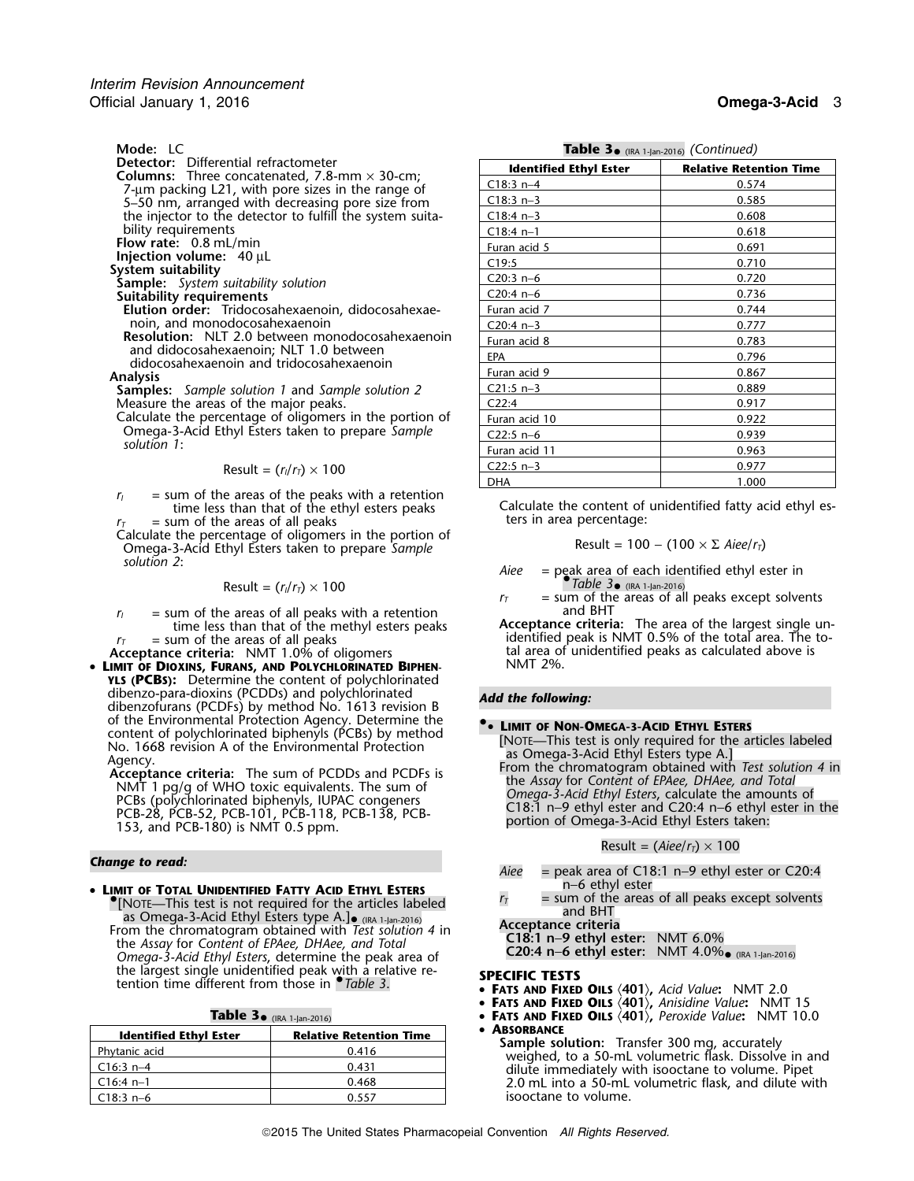**Mode: LC**<br>**Detector:** Differential refractometer 5–50 nm, arranged with decreasing pore size from C18:3 n−3 0.585 the injector to the detector to fulfill the system suitability requirements<br>Flow rate: 0.8 mL/min

$$
Result = (r_1/r_1) \times 100
$$

 $r_I$  = sum of the areas of the peaks with a retention time less than that of the ethyl esters peaks = sum of the areas of all peaks

Calculate the percentage of oligomers in the portion of Omega-3-Acid Ethyl Esters taken to prepare Sample solution 2:

$$
Result = (r_1/r_1) \times 100
$$

 $r_I$  = sum of the areas of all peaks with a retention time less than that of the methyl esters peaks

•**LIMIT OF DIOXINS, FURANS, AND POLYCHLORINATED BIPHEN-YLS (PCBS):** Determine the content of polychlorinated dibenzo-para-dioxins (PCDDs) and polychlorinated *Add the following:* dibenzofurans (PCDFs) by method No. 1613 revision B of the Environmental Protection Agency. Determine the<br>
content of polychlorinated biphenyls (PCBs) by method<br> **••** LIMIT of Non-OMEGA-3-ACID ETHYL ESTERS

<sup>n</sup>−6 ethyl ester • **LIMIT OF TOTAL UNIDENTIFIED FATTY ACID ETHYL ESTERS** •**FRICH SUBLIMITY TATT AND LITTLE STERS**<br>
[NOTE—This test is not the areas of all peaks except solvents<br>
and BHT as Omega-3-Acid Ethyl Esters type A.]•  $\frac{(nA-1)2n-2016}{(nA-1)2n-2016}$  and BHT as Omega-3-Acceptance criteria From the chromatogram obtained with *Test solution 4* in **Acceptance criteria** From the chromatogram obtained with *Test solution 4* in **C18:1 n–9 ethyl ester:** NMT 6.0% the *Assay* for *Content of EPAee, DHAee, and Total* **C18:1 n−9 ethyl ester:** NMT 6.0%<br>Canona 3.4cid Ethyl Esters determine the peak area of **C20:4 n−6 ethyl ester:** NMT 4.0% (RA 1-Jan-2016) *Omega-3-Acid Ethyl Esters, determine the peak area of* the largest single unidentified peak with a relative re-<br>tention time different from those in *Chale 3*. • **FATS AND FIXED** 

| <b>Table 5.</b> (IRA 1-Jan-2016) |                                |  |  |
|----------------------------------|--------------------------------|--|--|
| <b>Identified Ethyl Ester</b>    | <b>Relative Retention Time</b> |  |  |
| Phytanic acid                    | 0.416                          |  |  |
| $C16:3 n-4$                      | 0.431                          |  |  |
| $C16:4$ n-1                      | 0.468                          |  |  |
| $C18:3n-6$                       |                                |  |  |

**Table 3**•

Table 3. (IRA 1-Jan-2016) *(Continued)* 

| <b>Detector:</b> Differential refractometer                         | <b>Identified Ethyl Ester</b> | <b>Relative Retention Time</b> |
|---------------------------------------------------------------------|-------------------------------|--------------------------------|
| <b>Columns:</b> Three concatenated, 7.8-mm $\times$ 30-cm;          | $C18:3 n-4$                   | 0.574                          |
| 7-um packing L21, with pore sizes in the range of                   | $C18:3 n-3$                   | 0.585                          |
| 5-50 nm, arranged with decreasing pore size from                    |                               |                                |
| the injector to the detector to fulfill the system suita-           | $C18:4 n-3$                   | 0.608                          |
| bility requirements                                                 | $C18:4 n-1$                   | 0.618                          |
| Flow rate: $0.8$ mL/min                                             | Furan acid 5                  | 0.691                          |
| Injection volume: $40 \mu L$                                        | C19:5                         | 0.710                          |
| System suitability                                                  | $C20:3 n-6$                   | 0.720                          |
| <b>Sample:</b> System suitability solution                          |                               |                                |
| Suitability requirements                                            | $C20:4 n-6$                   | 0.736                          |
| Elution order: Tridocosahexaenoin, didocosahexae-                   | Furan acid 7                  | 0.744                          |
| noin, and monodocosahexaenoin                                       | $C20:4 n-3$                   | 0.777                          |
| <b>Resolution:</b> NLT 2.0 between monodocosahexaenoin              | Furan acid 8                  | 0.783                          |
| and didocosahexaenoin; NLT 1.0 between                              | <b>EPA</b>                    | 0.796                          |
| didocosahexaenoin and tridocosahexaenoin                            | Furan acid 9                  | 0.867                          |
| Analysis<br><b>Samples:</b> Sample solution 1 and Sample solution 2 | $C21:5 n-3$                   | 0.889                          |
| Measure the areas of the major peaks.                               | C22:4                         | 0.917                          |
| Calculate the percentage of oligomers in the portion of             | Furan acid 10                 | 0.922                          |
| Omega-3-Acid Ethyl Esters taken to prepare Sample                   | $C22:5 n-6$                   | 0.939                          |
| solution $1:$                                                       | Furan acid 11                 | 0.963                          |
| Result = $(r_1/r_7) \times 100$                                     | $C22:5 n-3$                   | 0.977                          |
|                                                                     | <b>DHA</b>                    | 1.000                          |

Calculate the content of unidentified fatty acid ethyl esters in area percentage:

$$
Result = 100 - (100 \times \Sigma \text{ A}iee/r_T)
$$

*solution 2*: *Aiee* = peak area of each identified ethyl ester in  $\text{Result} = (r_1/r_7) \times 100$  *rable 3* (IRA 1-Jan-2016)

 $r_T$  = sum of the areas of all peaks except solvents and BHT

time less than that of the methyl esters peaks **Acceptance criteria:** The area of the largest single un-<br>sum of the areas of all peaks **Acceptance criteria:** The area of the total area. The to $r_T$  = sum of the areas of all peaks<br>Acceptance criteria: NMT 1.0% of oligomers tal area of unidentified peaks as calculated above is tal area of unidentified peaks as calculated above is NMT 2%.

- 
- CONTE This test is only required for the articles labeled<br>
No. 1668 revision A of the Environmental Protection<br>
Agency.<br>
Acceptance criteria: The sum of PCDDs and PCDFs is<br>
NAT 1 pg/g of WHO toxic equivalents. The sum of<br>

$$
Result = (Aiee/rT) \times 100
$$

- *Change to read: Aiee* = peak area of C18:1 n−9 ethyl ester or C20:4
	-

- **FATS AND FIXED OILS** 〈**401**〉**,** *Acid Value***:** NMT 2.0
- **FATS AND FIXED OILS** 〈**401**〉**,** *Anisidine Value***:** NMT 15
- (IRA 1-Jan-2016) **<sup>F</sup>ATS AND FIXED OILS** 〈**401**〉**,** *Peroxide Value***:** NMT 10.0

**ABSORBANCE**<br> **Sample solution:** Transfer 300 mg, accurately<br>
weighed, to a 50-mL volumetric flask. Dissolve in and<br>
dilute immediately with isooctane to volume. Pipet 2.0 mL into a 50-mL volumetric flask, and dilute with isooctane to volume.

•